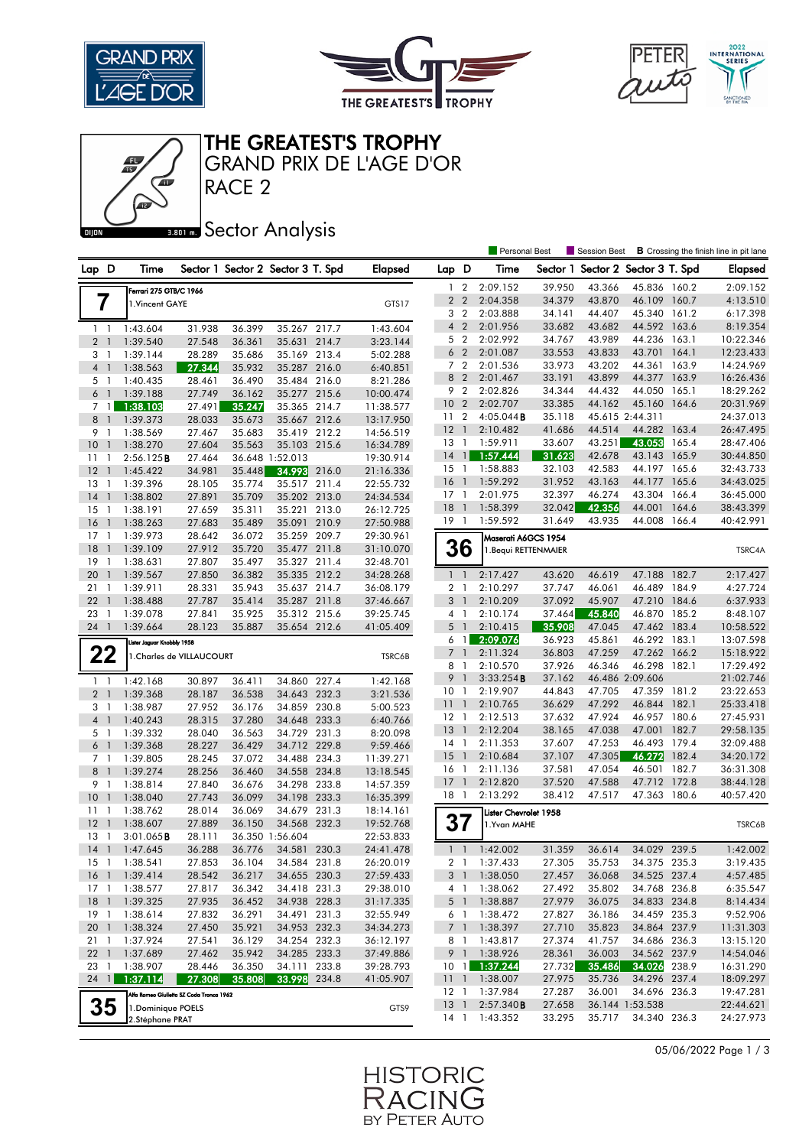





THE GREATEST'S TROPHY

RACE 2 GRAND PRIX DE L'AGE D'OR

### **BROT** Sector Analysis

|                                      |                                          |                           |                                   |                              |       |                        |                     | <b>Personal Best</b> |                       |                  | <b>B</b> Crossing the finish line in pit lane<br>Session Best |                          |       |                        |
|--------------------------------------|------------------------------------------|---------------------------|-----------------------------------|------------------------------|-------|------------------------|---------------------|----------------------|-----------------------|------------------|---------------------------------------------------------------|--------------------------|-------|------------------------|
| Lap D                                | Time                                     |                           | Sector 1 Sector 2 Sector 3 T. Spd |                              |       | <b>Elapsed</b>         | Lap D               |                      | Time                  | Sector 1         |                                                               | Sector 2 Sector 3 T. Spd |       | <b>Elapsed</b>         |
|                                      | Ferrari 275 GTB/C 1966                   |                           |                                   |                              |       |                        | 1.                  | $\overline{2}$       | 2:09.152              | 39.950           | 43.366                                                        | 45.836 160.2             |       | 2:09.152               |
| 7                                    | 1. Vincent GAYE                          |                           |                                   |                              |       | GTS17                  |                     | 2 <sub>2</sub>       | 2:04.358              | 34.379           | 43.870                                                        | 46.109 160.7             |       | 4:13.510               |
|                                      |                                          |                           |                                   |                              |       |                        | 3                   | $\overline{2}$       | 2:03.888              | 34.141           | 44.407                                                        | 45.340 161.2             |       | 6:17.398               |
| $1\quad$                             | 1:43.604                                 | 31.938                    | 36.399                            | 35.267 217.7                 |       | 1:43.604               | $\overline{4}$      | $\overline{2}$       | 2:01.956              | 33.682           | 43.682                                                        | 44.592 163.6             |       | 8:19.354               |
| 2 <sub>1</sub>                       | 1:39.540                                 | 27.548                    | 36.361                            | 35.631 214.7                 |       | 3:23.144               | 5                   | $\overline{2}$       | 2:02.992              | 34.767           | 43.989                                                        | 44.236 163.1             |       | 10:22.346              |
| 3<br>$\overline{1}$                  | 1:39.144                                 | 28.289                    | 35.686                            | 35.169 213.4                 |       | 5:02.288               |                     | 6 <sub>2</sub>       | 2:01.087              | 33.553           | 43.833                                                        | 43.701                   | 164.1 | 12:23.433              |
| $\overline{4}$<br>$\mathbf{1}$       | 1:38.563                                 | 27.344                    | 35.932                            | 35.287 216.0                 |       | 6:40.851               |                     | 7 <sub>2</sub>       | 2:01.536              | 33.973           | 43.202                                                        | 44.361                   | 163.9 | 14:24.969              |
| 5 1                                  | 1:40.435                                 | 28.461                    | 36.490                            | 35.484 216.0                 |       | 8:21.286               | 8                   | $\overline{2}$       | 2:01.467              | 33.191           | 43.899                                                        | 44.377                   | 163.9 | 16:26.436              |
| 6 <sup>1</sup>                       | 1:39.188                                 | 27.749                    | 36.162                            | 35.277 215.6                 |       | 10:00.474              |                     | 9 2                  | 2:02.826              | 34.344           | 44.432                                                        | 44.050                   | 165.1 | 18:29.262              |
| 7 1                                  | 1:38.103                                 | 27.491                    | 35.247                            | 35.365 214.7                 |       | 11:38.577              | 10 <sub>2</sub>     |                      | 2:02.707              | 33.385           | 44.162                                                        | 45.160                   | 164.6 | 20:31.969              |
| 8 <sup>1</sup>                       | 1:39.373                                 | 28.033                    | 35.673                            | 35.667 212.6                 |       | 13:17.950              | 11 <sub>2</sub>     |                      | $4:05.044$ <b>B</b>   | 35.118           |                                                               | 45.615 2:44.311          |       | 24:37.013              |
| 9<br>-1                              | 1:38.569                                 | 27.467                    | 35.683                            | 35.419 212.2                 |       | 14:56.519              | 12                  | $\overline{1}$       | 2:10.482              | 41.686           | 44.514                                                        | 44.282                   | 163.4 | 26:47.495              |
| 10<br>$\overline{\phantom{a}}$       | 1:38.270                                 | 27.604                    | 35.563                            | 35.103 215.6                 |       | 16:34.789              | 13                  | $\mathbf{1}$         | 1:59.911              | 33.607           | 43.251                                                        | 43.053                   | 165.4 | 28:47.406              |
| $\overline{1}$<br>11                 | 2:56.125B                                | 27.464                    |                                   | 36.648 1:52.013              |       | 19:30.914              | 14                  | $\overline{1}$       | 1:57.444              | 31.623           | 42.678                                                        | 43.143 165.9             |       | 30:44.850              |
| 12<br>-1                             | 1:45.422                                 | 34.981                    | 35.448                            | 34.993                       | 216.0 | 21:16.336              | 15                  | $\overline{1}$       | 1:58.883              | 32.103           | 42.583                                                        | 44.197                   | 165.6 | 32:43.733              |
| 13<br>$\overline{1}$                 | 1:39.396                                 | 28.105                    | 35.774                            | 35.517 211.4                 |       | 22:55.732              | 16                  | $\overline{1}$       | 1:59.292              | 31.952           | 43.163                                                        | 44.177                   | 165.6 | 34:43.025              |
| 14<br>$\mathbf{1}$                   | 1:38.802                                 | 27.891                    | 35.709                            | 35.202 213.0                 |       | 24:34.534              | $17-1$              |                      | 2:01.975              | 32.397           | 46.274                                                        | 43.304                   | 166.4 | 36:45.000              |
| 15<br>-1                             | 1:38.191                                 | 27.659                    | 35.311                            | 35.221                       | 213.0 | 26:12.725              | 18                  | $\overline{1}$       | 1:58.399              | 32.042           | 42.356                                                        | 44.001                   | 164.6 | 38:43.399              |
| 16<br>$\overline{1}$                 | 1:38.263                                 | 27.683                    | 35.489                            | 35.091 210.9                 |       | 27:50.988              | $19-1$              |                      | 1:59.592              | 31.649           | 43.935                                                        | 44.008                   | 166.4 | 40:42.991              |
| $17-1$                               | 1:39.973                                 | 28.642                    | 36.072                            | 35.259 209.7                 |       | 29:30.961              |                     |                      | Maserati A6GCS 1954   |                  |                                                               |                          |       |                        |
| 18<br>$\overline{\phantom{a}}$       | 1:39.109                                 | 27.912                    | 35.720                            | 35.477 211.8                 |       | 31:10.070              |                     | 36                   | 1. Bequi RETTENMAIER  |                  |                                                               |                          |       | TSRC4A                 |
| 19<br>-1                             | 1:38.631                                 | 27.807                    | 35.497                            | 35.327 211.4                 |       | 32:48.701              |                     |                      |                       |                  |                                                               |                          |       |                        |
| 20<br>$\mathbf{1}$                   | 1:39.567                                 | 27.850                    | 36.382                            | 35.335 212.2                 |       | 34:28.268              | $\mathbf{1}$        | $\mathbf{1}$         | 2:17.427              | 43.620           | 46.619                                                        | 47.188 182.7             |       | 2:17.427               |
| 21<br>$\mathbf{1}$                   | 1:39.911                                 | 28.331                    | 35.943                            | 35.637 214.7                 |       | 36:08.179              | $\overline{2}$      | -1                   | 2:10.297              | 37.747           | 46.061                                                        | 46.489                   | 184.9 | 4:27.724               |
| 22<br>-1                             | 1:38.488                                 | 27.787                    | 35.414                            | 35.287 211.8                 |       | 37:46.667              | 3                   | $\overline{1}$       | 2:10.209              | 37.092           | 45.907                                                        | 47.210 184.6             |       | 6:37.933               |
| 23<br>$\overline{1}$                 | 1:39.078                                 | 27.841                    | 35.925                            | 35.312 215.6                 |       | 39:25.745              | 4                   | $\overline{1}$       | 2:10.174              | 37.464           | 45.840                                                        | 46.870 185.2             |       | 8:48.107               |
| 24 1                                 | 1:39.664                                 | 28.123                    | 35.887                            | 35.654 212.6                 |       | 41:05.409              | 5                   | $\mathbf{1}$         | 2:10.415              | 35.908           | 47.045                                                        | 47.462 183.4             |       | 10:58.522              |
|                                      | Lister Jaguar Knobbly 1958               |                           |                                   |                              |       |                        | 6                   | $\overline{1}$       | 2:09.076              | 36.923           | 45.861                                                        | 46.292 183.1             |       | 13:07.598              |
| 22                                   |                                          | 1. Charles de VILLAUCOURT |                                   |                              |       | TSRC6B                 | $\overline{7}$<br>8 | $\overline{1}$<br>-1 | 2:11.324              | 36.803<br>37.926 | 47.259<br>46.346                                              | 47.262 166.2<br>46.298   | 182.1 | 15:18.922              |
|                                      |                                          |                           |                                   |                              |       |                        | 9                   | $\overline{1}$       | 2:10.570<br>3:33.254B | 37.162           |                                                               | 46.486 2:09.606          |       | 17:29.492<br>21:02.746 |
| $1\quad$                             | 1:42.168                                 | 30.897                    | 36.411                            | 34.860                       | 227.4 | 1:42.168               | 10                  | $\overline{1}$       | 2:19.907              | 44.843           | 47.705                                                        | 47.359 181.2             |       | 23:22.653              |
| 2 <sub>1</sub>                       | 1:39.368                                 | 28.187                    | 36.538                            | 34.643 232.3                 |       | 3:21.536               | $\overline{11}$     | $\overline{1}$       | 2:10.765              | 36.629           | 47.292                                                        | 46.844                   | 182.1 | 25:33.418              |
| 3 1                                  | 1:38.987                                 | 27.952                    | 36.176                            | 34.859 230.8                 |       | 5:00.523               | 12                  | $\overline{1}$       | 2:12.513              | 37.632           | 47.924                                                        | 46.957 180.6             |       | 27:45.931              |
| 4 <sup>1</sup>                       | 1:40.243                                 | 28.315<br>28.040          | 37.280                            | 34.648                       | 233.3 | 6:40.766               | 13                  | $\overline{1}$       | 2:12.204              | 38.165           | 47.038                                                        | 47.001                   | 182.7 | 29:58.135              |
| 5 1<br>6<br>$\overline{\phantom{0}}$ | 1:39.332<br>1:39.368                     | 28.227                    | 36.563<br>36.429                  | 34.729 231.3<br>34.712 229.8 |       | 8:20.098<br>9:59.466   | 14                  | $\overline{1}$       | 2:11.353              | 37.607           | 47.253                                                        | 46.493                   | 179.4 | 32:09.488              |
|                                      |                                          |                           | 37.072                            | 34.488 234.3                 |       |                        | 15                  | $\overline{1}$       | 2:10.684              | 37.107           | 47.305                                                        | 46.272                   | 182.4 | 34:20.172              |
| 7 <sub>1</sub><br>8<br>$\mathbf{1}$  | 1:39.805<br>1:39.274                     | 28.245<br>28.256          | 36.460                            | 34.558 234.8                 |       | 11:39.271<br>13:18.545 | 16                  | $\overline{1}$       | 2:11.136              | 37.581           | 47.054                                                        | 46.501                   | 182.7 | 36:31.308              |
| 9<br>-1                              | 1:38.814                                 | 27.840                    | 36.676                            | 34.298                       | 233.8 | 14:57.359              | 17                  | $\overline{1}$       | 2:12.820              | 37.520           | 47.588                                                        | 47.712                   | 172.8 | 38:44.128              |
| 10<br>-1                             | 1:38.040                                 | 27.743                    | 36.099                            | 34.198 233.3                 |       | 16:35.399              | 18 1                |                      | 2:13.292              | 38.412           | 47.517                                                        | 47.363                   | 180.6 | 40:57.420              |
| 11<br>$\overline{1}$                 | 1:38.762                                 | 28.014                    | 36.069                            | 34.679 231.3                 |       | 18:14.161              |                     |                      | Lister Chevrolet 1958 |                  |                                                               |                          |       |                        |
| 12<br>$\mathbf{1}$                   | 1:38.607                                 | 27.889                    | 36.150                            | 34.568                       | 232.3 | 19:52.768              | 37                  |                      | 1.Yvan MAHE           |                  |                                                               |                          |       | TSRC6B                 |
| 13<br>1                              | $3:01.065$ <b>B</b>                      | 28.111                    |                                   | 36.350 1:56.604              |       | 22:53.833              |                     |                      |                       |                  |                                                               |                          |       |                        |
| $14-1$                               | 1:47.645                                 | 36.288                    | 36.776                            | 34.581 230.3                 |       | 24:41.478              |                     | $1\quad$             | 1:42.002              | 31.359           | 36.614                                                        | 34.029 239.5             |       | 1:42.002               |
| 15<br>-1                             | 1:38.541                                 | 27.853                    | 36.104                            | 34.584 231.8                 |       | 26:20.019              | 2                   | $\mathbf{1}$         | 1:37.433              | 27.305           | 35.753                                                        | 34.375 235.3             |       | 3:19.435               |
| 16 <sub>1</sub>                      | 1:39.414                                 | 28.542                    | 36.217                            | 34.655 230.3                 |       | 27:59.433              | 3 <sup>1</sup>      |                      | 1:38.050              | 27.457           | 36.068                                                        | 34.525 237.4             |       | 4:57.485               |
| $17-1$                               | 1:38.577                                 | 27.817                    | 36.342                            | 34.418 231.3                 |       | 29:38.010              |                     | 4 1                  | 1:38.062              | 27.492           | 35.802                                                        | 34.768 236.8             |       | 6:35.547               |
| $18-1$                               | 1:39.325                                 | 27.935                    | 36.452                            | 34.938 228.3                 |       | 31:17.335              |                     | 5 <sup>1</sup>       | 1:38.887              | 27.979           | 36.075                                                        | 34.833 234.8             |       | 8:14.434               |
| $19-1$                               | 1:38.614                                 | 27.832                    | 36.291                            | 34.491 231.3                 |       | 32:55.949              |                     | 6 1                  | 1:38.472              | 27.827           | 36.186                                                        | 34.459 235.3             |       | 9:52.906               |
| 201                                  | 1:38.324                                 | 27.450                    | 35.921                            | 34.953 232.3                 |       | 34:34.273              |                     | 7 1                  | 1:38.397              | 27.710           | 35.823                                                        | 34.864 237.9             |       | 11:31.303              |
| 21<br>$\overline{1}$                 | 1:37.924                                 | 27.541                    | 36.129                            | 34.254 232.3                 |       | 36:12.197              |                     | 8 1                  | 1:43.817              | 27.374           | 41.757                                                        | 34.686 236.3             |       | 13:15.120              |
| 22 1                                 | 1:37.689                                 | 27.462                    | 35.942                            | 34.285 233.3                 |       | 37:49.886              |                     | 9 1                  | 1:38.926              | 28.361           | 36.003                                                        | 34.562 237.9             |       | 14:54.046              |
| 23<br>$\overline{1}$                 | 1:38.907                                 | 28.446                    | 36.350                            | 34.111 233.8                 |       | 39:28.793              | 101                 |                      | 1:37.244              | 27.732           | 35.486                                                        | 34.026 238.9             |       | 16:31.290              |
| 24 1                                 | 1:37.114                                 | 27.308                    | 35.808                            | 33.998 234.8                 |       | 41:05.907              | 111                 |                      | 1:38.007              | 27.975           | 35.736                                                        | 34.296 237.4             |       | 18:09.297              |
|                                      | Alfa Romeo Giulietta SZ Coda Tronca 1962 |                           |                                   |                              |       |                        | $12-1$              |                      | 1:37.984              | 27.287           | 36.001                                                        | 34.696 236.3             |       | 19:47.281              |
| 35                                   | 1. Dominique POELS                       |                           |                                   |                              |       | GTS9                   | 13 <sup>1</sup>     |                      | 2:57.340B             | 27.658           |                                                               | 36.144 1:53.538          |       | 22:44.621              |
|                                      | 2.Stéphane PRAT                          |                           |                                   |                              |       |                        | 14 1                |                      | 1:43.352              | 33.295           | 35.717                                                        | 34.340 236.3             |       | 24:27.973              |
|                                      |                                          |                           |                                   |                              |       |                        |                     |                      |                       |                  |                                                               |                          |       |                        |

05/06/2022 Page 1 / 3

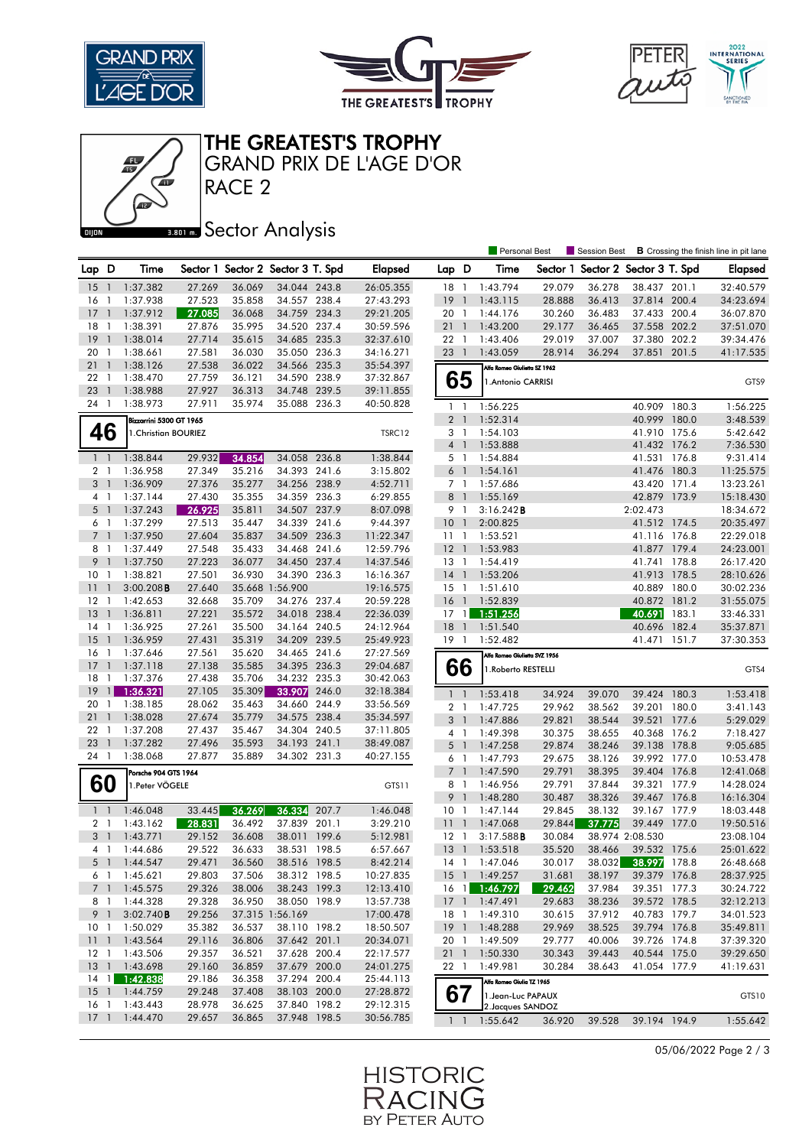





#### THE GREATEST'S TROPHY

RACE 2 GRAND PRIX DE L'AGE D'OR

# **BRON A** Sector Analysis

|                     |                      |                         |                  |                                   |                              |                |                        |                 |                | <b>Personal Best</b>          |                  | <b>Session Best</b>      |                                 |       | <b>B</b> Crossing the finish line in pit lane |
|---------------------|----------------------|-------------------------|------------------|-----------------------------------|------------------------------|----------------|------------------------|-----------------|----------------|-------------------------------|------------------|--------------------------|---------------------------------|-------|-----------------------------------------------|
| Lap D               |                      | Time                    |                  | Sector 1 Sector 2 Sector 3 T. Spd |                              |                | <b>Elapsed</b>         | Lap D           |                | Time                          | Sector 1         | Sector 2 Sector 3 T. Spd |                                 |       | <b>Elapsed</b>                                |
| 15                  | - 1                  | 1:37.382                | 27.269           | 36.069                            | 34.044 243.8                 |                | 26:05.355              | 18              | $\overline{1}$ | 1:43.794                      | 29.079           | 36.278                   | 38.437 201.1                    |       | 32:40.579                                     |
| 16                  | -1                   | 1:37.938                | 27.523           | 35.858                            | 34.557 238.4                 |                | 27:43.293              | 19              | $\overline{1}$ | 1:43.115                      | 28.888           | 36.413                   | 37.814 200.4                    |       | 34:23.694                                     |
| 17                  | $\mathbf{1}$         | 1:37.912                | 27.085           | 36.068                            | 34.759 234.3                 |                | 29:21.205              | 20 <sub>1</sub> |                | 1:44.176                      | 30.260           | 36.483                   | 37.433 200.4                    |       | 36:07.870                                     |
| 18                  | -1                   | 1:38.391                | 27.876           | 35.995                            | 34.520                       | 237.4          | 30:59.596              | 21              | $\overline{1}$ | 1:43.200                      | 29.177           | 36.465                   | 37.558 202.2                    |       | 37:51.070                                     |
| 19                  | $\mathbf{1}$         | 1:38.014                | 27.714           | 35.615                            | 34.685 235.3                 |                | 32:37.610              | $22 \quad 1$    |                | 1:43.406                      | 29.019           | 37.007                   | 37.380 202.2                    |       | 39:34.476                                     |
| 20                  | - 1                  | 1:38.661                | 27.581           | 36.030                            | 35.050 236.3                 |                | 34:16.271              | 23              | $\overline{1}$ | 1:43.059                      | 28.914           | 36.294                   | 37.851                          | 201.5 | 41:17.535                                     |
| 21                  | $\mathbf{1}$         | 1:38.126                | 27.538           | 36.022                            | 34.566 235.3                 |                | 35:54.397              |                 |                | Alfa Romeo Giulietta SZ 1962  |                  |                          |                                 |       |                                               |
| 22                  | -1                   | 1:38.470                | 27.759           | 36.121                            | 34.590 238.9                 |                | 37:32.867              |                 | 65             | 1. Antonio CARRISI            |                  |                          |                                 |       | GTS9                                          |
| 23                  | $\mathbf{1}$         | 1:38.988                | 27.927           | 36.313                            | 34.748 239.5                 |                | 39:11.855              |                 |                |                               |                  |                          |                                 |       |                                               |
| 24 1                |                      | 1:38.973                | 27.911           | 35.974                            | 35.088 236.3                 |                | 40:50.828              | $1\quad$        |                | 1:56.225                      |                  |                          | 40.909 180.3                    |       | 1:56.225                                      |
|                     |                      | Bizzarrini 5300 GT 1965 |                  |                                   |                              |                |                        | 2 <sub>1</sub>  |                | 1:52.314                      |                  |                          | 40.999 180.0                    |       | 3:48.539                                      |
|                     | 46                   | 1. Christian BOURIEZ    |                  |                                   |                              |                | TSRC12                 | 3 1             |                | 1:54.103                      |                  |                          | 41.910 175.6                    |       | 5:42.642                                      |
|                     |                      |                         |                  |                                   |                              |                |                        | 4 <sup>1</sup>  |                | 1:53.888                      |                  |                          | 41.432 176.2                    |       | 7:36.530                                      |
| $1\quad$            |                      | 1:38.844                | 29.932           | 34.854                            | 34.058 236.8                 |                | 1:38.844               | 5 1             |                | 1:54.884                      |                  |                          | 41.531 176.8                    |       | 9:31.414                                      |
| 2 <sub>1</sub>      |                      | 1:36.958                | 27.349           | 35.216                            | 34.393 241.6                 |                | 3:15.802               | 6 <sup>1</sup>  |                | 1:54.161                      |                  |                          | 41.476 180.3                    |       | 11:25.575                                     |
| 3 <sup>1</sup>      |                      | 1:36.909                | 27.376           | 35.277                            | 34.256 238.9                 |                | 4:52.711               | 7 1             |                | 1:57.686                      |                  |                          | 43.420 171.4                    |       | 13:23.261                                     |
| 4 1                 |                      | 1:37.144                | 27.430           | 35.355                            | 34.359 236.3                 |                | 6:29.855               | 8 <sup>1</sup>  |                | 1:55.169                      |                  |                          | 42.879 173.9                    |       | 15:18.430                                     |
| 5 <sub>1</sub>      |                      | 1:37.243                | 26.925           | 35.811                            | 34.507 237.9                 |                | 8:07.098               | 9 1             |                | 3:16.242B                     |                  |                          | 2:02.473                        |       | 18:34.672                                     |
| 6                   | $\overline{1}$       | 1:37.299                | 27.513           | 35.447                            | 34.339 241.6                 |                | 9:44.397               | 10              | $\overline{1}$ | 2:00.825                      |                  |                          | 41.512 174.5                    |       | 20:35.497                                     |
| 7 <sup>1</sup>      |                      | 1:37.950                | 27.604           | 35.837                            | 34.509 236.3                 |                | 11:22.347              | 111             |                | 1:53.521                      |                  |                          | 41.116 176.8                    |       | 22:29.018                                     |
| 8                   | - 1                  | 1:37.449                | 27.548           | 35.433                            | 34.468                       | 241.6          | 12:59.796              | $12-1$          |                | 1:53.983                      |                  |                          | 41.877                          | 179.4 | 24:23.001                                     |
| 9                   | $\mathbf{1}$         | 1:37.750                | 27.223           | 36.077                            | 34.450 237.4                 |                | 14:37.546              | 13              | $\overline{1}$ | 1:54.419                      |                  |                          | 41.741                          | 178.8 | 26:17.420                                     |
| 10                  | -1                   | 1:38.821                | 27.501           | 36.930                            | 34.390                       | 236.3          | 16:16.367              | 14              | $\overline{1}$ | 1:53.206                      |                  |                          | 41.913                          | 178.5 | 28:10.626                                     |
| 11                  | $\mathbf{1}$         | $3:00.208$ B            | 27.640           |                                   | 35.668 1:56.900              |                | 19:16.575              | 15              | $\mathbf{1}$   | 1:51.610                      |                  |                          | 40.889                          | 180.0 | 30:02.236                                     |
| 12                  | $\overline{1}$       | 1:42.653                | 32.668           | 35.709                            | 34.276 237.4                 |                | 20:59.228              | 16 <sub>1</sub> |                | 1:52.839                      |                  |                          | 40.872 181.2                    |       | 31:55.075                                     |
| 13                  | $\overline{1}$       | 1:36.811                | 27.221           | 35.572                            | 34.018 238.4                 |                | 22:36.039              | 17              | $\overline{1}$ | 1:51.256                      |                  |                          | 40.691                          | 183.1 | 33:46.331                                     |
| 14                  | $\overline{1}$       | 1:36.925                | 27.261           | 35.500                            | 34.164 240.5                 |                | 24:12.964              | 18              | $\overline{1}$ | 1:51.540                      |                  |                          | 40.696                          | 182.4 | 35:37.871                                     |
| 15                  | $\mathbf{1}$         | 1:36.959                | 27.431           | 35.319                            | 34.209 239.5                 |                | 25:49.923              | 19              | $\overline{1}$ | 1:52.482                      |                  |                          | 41.471                          | 151.7 | 37:30.353                                     |
| 16                  | -1                   | 1:37.646                | 27.561           | 35.620                            | 34.465 241.6                 |                | 27:27.569              |                 |                | Alfa Romeo Giulietta SVZ 1956 |                  |                          |                                 |       |                                               |
| 17                  | $\mathbf{1}$         | 1:37.118                | 27.138           | 35.585                            | 34.395 236.3                 |                | 29:04.687              |                 | 66             | 1.Roberto RESTELLI            |                  |                          |                                 |       | GTS4                                          |
| 18                  | $\mathbf{1}$         | 1:37.376                | 27.438           | 35.706                            | 34.232 235.3                 |                | 30:42.063              |                 |                |                               |                  |                          |                                 |       |                                               |
| 19                  | $\mathbf{1}$         | 1:36.321                | 27.105           | 35.309                            | 33.907                       | 246.0          | 32:18.384              | $1\quad$        |                | 1:53.418                      | 34.924           | 39.070                   | 39.424 180.3                    |       | 1:53.418                                      |
| 20                  | -1                   | 1:38.185                | 28.062           | 35.463                            | 34.660                       | 244.9          | 33:56.569              | $\overline{a}$  | -1             | 1:47.725                      | 29.962           | 38.562                   | 39.201                          | 180.0 | 3:41.143                                      |
| 21                  | $\mathbf{1}$         | 1:38.028                | 27.674           | 35.779                            | 34.575 238.4                 |                | 35:34.597              | 3               | $\overline{1}$ | 1:47.886                      | 29.821           | 38.544                   | 39.521                          | 177.6 | 5:29.029                                      |
| 22<br>23            | -1<br>$\overline{1}$ | 1:37.208<br>1:37.282    | 27.437<br>27.496 | 35.467<br>35.593                  | 34.304 240.5<br>34.193 241.1 |                | 37:11.805              | $4-1$           |                | 1:49.398                      | 30.375           | 38.655                   | 40.368 176.2                    |       | 7:18.427                                      |
| 24 1                |                      | 1:38.068                | 27.877           | 35.889                            | 34.302 231.3                 |                | 38:49.087<br>40:27.155 | 5               | $\overline{1}$ | 1:47.258                      | 29.874           | 38.246                   | 39.138                          | 178.8 | 9:05.685                                      |
|                     |                      |                         |                  |                                   |                              |                |                        | 6 1             |                | 1:47.793                      | 29.675           | 38.126                   | 39.992 177.0                    |       | 10:53.478                                     |
|                     |                      | Porsche 904 GTS 1964    |                  |                                   |                              |                |                        | $7^{\circ}$     | $\overline{1}$ | 1:47.590                      | 29.791           | 38.395                   | 39.404                          | 176.8 | 12:41.068                                     |
|                     | 60                   | 1. Peter VÖGELE         |                  |                                   |                              |                | GTS11                  | 8               | -1             | 1:46.956                      | 29.791           | 37.844                   | 39.321                          | 177.9 | 14:28.024                                     |
|                     |                      |                         |                  |                                   |                              |                |                        | 9               | $\overline{1}$ | 1:48.280                      | 30.487           | 38.326                   | 39.467 176.8<br>39.167 177.9    |       | 16:16.304                                     |
| $1 \quad 1$         |                      | 1:46.048                | 33.445           | 36.269                            | 36.334<br>37.839             | 207.7<br>201.1 | 1:46.048               | 10 <sub>1</sub> |                | 1:47.144                      | 29.845           | 38.132                   |                                 |       | 18:03.448                                     |
| 2 <sub>1</sub><br>3 | $\mathbf{1}$         | 1:43.162                | 28.831           | 36.492                            |                              |                | 3:29.210               | $\overline{11}$ | $\overline{1}$ | 1:47.068                      | 29.844           | 37.775                   | 39.449 177.0<br>38.974 2:08.530 |       | 19:50.516                                     |
| 41                  |                      | 1:43.771<br>1:44.686    | 29.152<br>29.522 | 36.608<br>36.633                  | 38.011<br>38.531             | 199.6<br>198.5 | 5:12.981<br>6:57.667   | 12<br>$13-1$    | - 1            | 3:17.588B<br>1:53.518         | 30.084<br>35.520 | 38.466                   | 39.532 175.6                    |       | 23:08.104<br>25:01.622                        |
| 5 1                 |                      | 1:44.547                | 29.471           | 36.560                            |                              |                | 8:42.214               |                 |                | 14 1 1:47.046                 | 30.017           | 38.032                   | 38.997 178.8                    |       | 26:48.668                                     |
|                     | 61                   | 1:45.621                | 29.803           | 37.506                            | 38.516 198.5<br>38.312 198.5 |                | 10:27.835              |                 |                | 15 1 1:49.257                 | 31.681           | 38.197                   | 39.379 176.8                    |       | 28:37.925                                     |
| 7 <sub>1</sub>      |                      | 1:45.575                | 29.326           | 38.006                            | 38.243 199.3                 |                | 12:13.410              |                 |                | 16 1 1:46.797                 | 29.462           | 37.984                   | 39.351 177.3                    |       | 30:24.722                                     |
| 8 1                 |                      | 1:44.328                | 29.328           | 36.950                            | 38.050 198.9                 |                | 13:57.738              |                 |                | 17 1 1:47.491                 | 29.683           | 38.236                   | 39.572 178.5                    |       | 32:12.213                                     |
| 9 1                 |                      | 3:02.740B               | 29.256           |                                   | 37.315 1:56.169              |                | 17:00.478              | 18 1            |                | 1:49.310                      | 30.615           | 37.912                   | 40.783 179.7                    |       | 34:01.523                                     |
| 10 <sub>1</sub>     |                      | 1:50.029                | 35.382           | 36.537                            | 38.110 198.2                 |                | 18:50.507              | 19 1            |                | 1:48.288                      | 29.969           | 38.525                   | 39.794 176.8                    |       | 35:49.811                                     |
| 111                 |                      | 1:43.564                | 29.116           | 36.806                            | 37.642 201.1                 |                | 20:34.071              | 20 1            |                | 1:49.509                      | 29.777           | 40.006                   | 39.726 174.8                    |       | 37:39.320                                     |
|                     |                      | 12 1 1:43.506           | 29.357           | 36.521                            | 37.628 200.4                 |                | 22:17.577              |                 |                | 21 1 1:50.330                 | 30.343           | 39.443                   | 40.544 175.0                    |       | 39:29.650                                     |
|                     |                      | 13 1 1:43.698           | 29.160           | 36.859                            | 37.679 200.0                 |                | 24:01.275              | 22 1            |                | 1:49.981                      | 30.284           | 38.643                   | 41.054 177.9                    |       | 41:19.631                                     |
|                     |                      | 14 1 1:42.838           | 29.186           | 36.358                            | 37.294 200.4                 |                | 25:44.113              |                 |                | Alfa Romeo Giulia TZ 1965     |                  |                          |                                 |       |                                               |
|                     |                      | 15 1 1:44.759           | 29.248           | 37.408                            | 38.103 200.0                 |                | 27:28.872              | 67              |                | 1. Jean-Luc PAPAUX            |                  |                          |                                 |       | GTS10                                         |
| 16 <sub>1</sub>     |                      | 1:43.443                | 28.978           | 36.625                            | 37.840 198.2                 |                | 29:12.315              |                 |                | 2. Jacques SANDOZ             |                  |                          |                                 |       |                                               |
|                     |                      | 17 1 1:44.470           | 29.657           | 36.865                            | 37.948 198.5                 |                | 30:56.785              |                 | $1\quad1$      | 1:55.642                      | 36.920           | 39.528                   | 39.194 194.9                    |       | 1:55.642                                      |
|                     |                      |                         |                  |                                   |                              |                |                        |                 |                |                               |                  |                          |                                 |       |                                               |

05/06/2022 Page 2 / 3